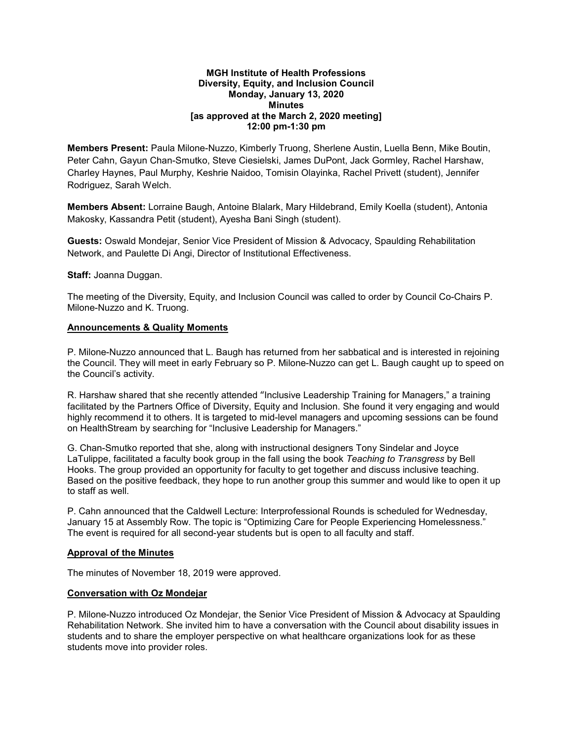### **MGH Institute of Health Professions Diversity, Equity, and Inclusion Council Monday, January 13, 2020 Minutes [as approved at the March 2, 2020 meeting] 12:00 pm-1:30 pm**

**Members Present:** Paula Milone-Nuzzo, Kimberly Truong, Sherlene Austin, Luella Benn, Mike Boutin, Peter Cahn, Gayun Chan-Smutko, Steve Ciesielski, James DuPont, Jack Gormley, Rachel Harshaw, Charley Haynes, Paul Murphy, Keshrie Naidoo, Tomisin Olayinka, Rachel Privett (student), Jennifer Rodriguez, Sarah Welch.

**Members Absent:** Lorraine Baugh, Antoine Blalark, Mary Hildebrand, Emily Koella (student), Antonia Makosky, Kassandra Petit (student), Ayesha Bani Singh (student).

**Guests:** Oswald Mondejar, Senior Vice President of Mission & Advocacy, Spaulding Rehabilitation Network, and Paulette Di Angi, Director of Institutional Effectiveness.

**Staff:** Joanna Duggan.

The meeting of the Diversity, Equity, and Inclusion Council was called to order by Council Co-Chairs P. Milone-Nuzzo and K. Truong.

### **Announcements & Quality Moments**

P. Milone-Nuzzo announced that L. Baugh has returned from her sabbatical and is interested in rejoining the Council. They will meet in early February so P. Milone-Nuzzo can get L. Baugh caught up to speed on the Council's activity.

R. Harshaw shared that she recently attended "Inclusive Leadership Training for Managers," a training facilitated by the Partners Office of Diversity, Equity and Inclusion. She found it very engaging and would highly recommend it to others. It is targeted to mid-level managers and upcoming sessions can be found on HealthStream by searching for "Inclusive Leadership for Managers."

G. Chan-Smutko reported that she, along with instructional designers Tony Sindelar and Joyce LaTulippe, facilitated a faculty book group in the fall using the book *Teaching to Transgress* by Bell Hooks. The group provided an opportunity for faculty to get together and discuss inclusive teaching. Based on the positive feedback, they hope to run another group this summer and would like to open it up to staff as well.

P. Cahn announced that the Caldwell Lecture: Interprofessional Rounds is scheduled for Wednesday, January 15 at Assembly Row. The topic is "Optimizing Care for People Experiencing Homelessness." The event is required for all second-year students but is open to all faculty and staff.

### **Approval of the Minutes**

The minutes of November 18, 2019 were approved.

### **Conversation with Oz Mondejar**

P. Milone-Nuzzo introduced Oz Mondejar, the Senior Vice President of Mission & Advocacy at Spaulding Rehabilitation Network. She invited him to have a conversation with the Council about disability issues in students and to share the employer perspective on what healthcare organizations look for as these students move into provider roles.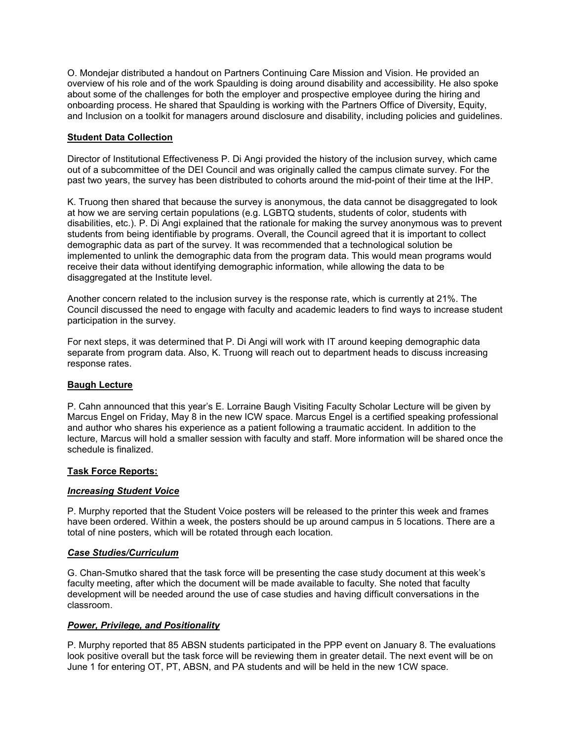O. Mondejar distributed a handout on Partners Continuing Care Mission and Vision. He provided an overview of his role and of the work Spaulding is doing around disability and accessibility. He also spoke about some of the challenges for both the employer and prospective employee during the hiring and onboarding process. He shared that Spaulding is working with the Partners Office of Diversity, Equity, and Inclusion on a toolkit for managers around disclosure and disability, including policies and guidelines.

### **Student Data Collection**

Director of Institutional Effectiveness P. Di Angi provided the history of the inclusion survey, which came out of a subcommittee of the DEI Council and was originally called the campus climate survey. For the past two years, the survey has been distributed to cohorts around the mid-point of their time at the IHP.

K. Truong then shared that because the survey is anonymous, the data cannot be disaggregated to look at how we are serving certain populations (e.g. LGBTQ students, students of color, students with disabilities, etc.). P. Di Angi explained that the rationale for making the survey anonymous was to prevent students from being identifiable by programs. Overall, the Council agreed that it is important to collect demographic data as part of the survey. It was recommended that a technological solution be implemented to unlink the demographic data from the program data. This would mean programs would receive their data without identifying demographic information, while allowing the data to be disaggregated at the Institute level.

Another concern related to the inclusion survey is the response rate, which is currently at 21%. The Council discussed the need to engage with faculty and academic leaders to find ways to increase student participation in the survey.

For next steps, it was determined that P. Di Angi will work with IT around keeping demographic data separate from program data. Also, K. Truong will reach out to department heads to discuss increasing response rates.

### **Baugh Lecture**

P. Cahn announced that this year's E. Lorraine Baugh Visiting Faculty Scholar Lecture will be given by Marcus Engel on Friday, May 8 in the new ICW space. Marcus Engel is a certified speaking professional and author who shares his experience as a patient following a traumatic accident. In addition to the lecture, Marcus will hold a smaller session with faculty and staff. More information will be shared once the schedule is finalized.

# **Task Force Reports:**

### *Increasing Student Voice*

P. Murphy reported that the Student Voice posters will be released to the printer this week and frames have been ordered. Within a week, the posters should be up around campus in 5 locations. There are a total of nine posters, which will be rotated through each location.

### *Case Studies/Curriculum*

G. Chan-Smutko shared that the task force will be presenting the case study document at this week's faculty meeting, after which the document will be made available to faculty. She noted that faculty development will be needed around the use of case studies and having difficult conversations in the classroom.

# *Power, Privilege, and Positionality*

P. Murphy reported that 85 ABSN students participated in the PPP event on January 8. The evaluations look positive overall but the task force will be reviewing them in greater detail. The next event will be on June 1 for entering OT, PT, ABSN, and PA students and will be held in the new 1CW space.